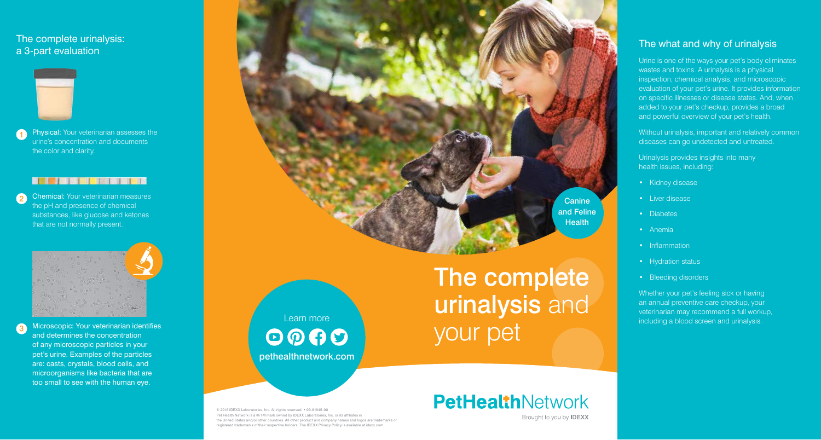© 2016 IDEXX Laboratories, Inc. All rights reserved. • 09-81945-00 Pet Health Network is a **®**/TM mark owned by IDEXX Laboratories, Inc. or its affiliates in the United States and/or other countries. All other product and company names and logos are trademarks or registered trademarks of their respective holders. The IDEXX Privacy Policy is available at idexx.com.

Learn more  $\odot$   $\odot$   $\odot$ pethealthnetwork.com

The complete urinalysis and your pet

# **PetHealthNetwork** Brought to you by **IDEXX**

**Canine** and Feline **Health** 

## The what and why of urinalysis

Without urinalysis, important and relatively common diseases can go undetected and untreated.

Urine is one of the ways your pet's body eliminates wastes and toxins. A urinalysis is a physical inspection, chemical analysis, and microscopic evaluation of your pet's urine. It provides information on specific illnesses or disease states. And, when added to your pet's checkup, provides a broad and powerful overview of your pet's health.

Urinalysis provides insights into many health issues, including:

- Kidney disease
- Liver disease
- Diabetes
- Anemia
- Inflammation
- Hydration status
- Bleeding disorders

Whether your pet's feeling sick or having an annual preventive care checkup, your veterinarian may recommend a full workup, including a blood screen and urinalysis.

## The complete urinalysis: a 3-part evaluation



1

3

Physical: Your veterinarian assesses the urine's concentration and documents the color and clarity.

### 

2 Chemical: Your veterinarian measures the pH and presence of chemical substances, like glucose and ketones that are not normally present.



Microscopic: Your veterinarian identifies and determines the concentration of any microscopic particles in your pet's urine. Examples of the particles are: casts, crystals, blood cells, and microorganisms like bacteria that are too small to see with the human eye.